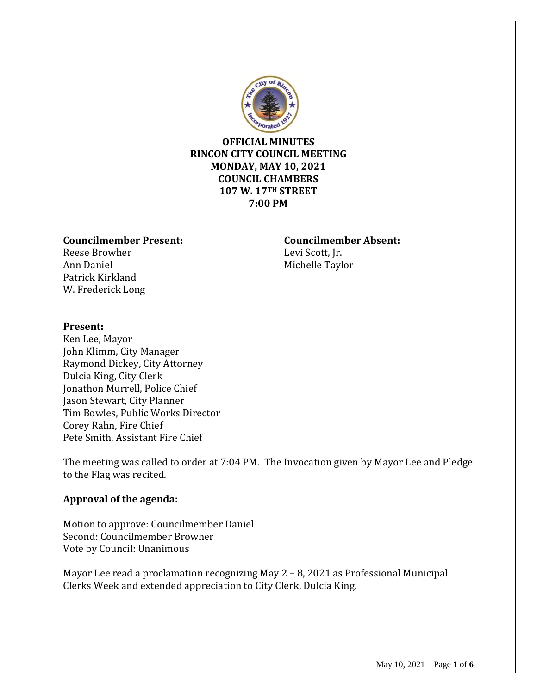

# **OFFICIAL MINUTES RINCON CITY COUNCIL MEETING MONDAY, MAY 10, 2021 COUNCIL CHAMBERS 107 W. 17TH STREET 7:00 PM**

#### **Councilmember Present: Councilmember Absent:**

Reese Browher Levi Scott, Jr. Ann Daniel Michelle Taylor Patrick Kirkland W. Frederick Long

## **Present:**

Ken Lee, Mayor John Klimm, City Manager Raymond Dickey, City Attorney Dulcia King, City Clerk Jonathon Murrell, Police Chief Jason Stewart, City Planner Tim Bowles, Public Works Director Corey Rahn, Fire Chief Pete Smith, Assistant Fire Chief

The meeting was called to order at 7:04 PM. The Invocation given by Mayor Lee and Pledge to the Flag was recited.

# **Approval of the agenda:**

Motion to approve: Councilmember Daniel Second: Councilmember Browher Vote by Council: Unanimous

Mayor Lee read a proclamation recognizing May 2 – 8, 2021 as Professional Municipal Clerks Week and extended appreciation to City Clerk, Dulcia King.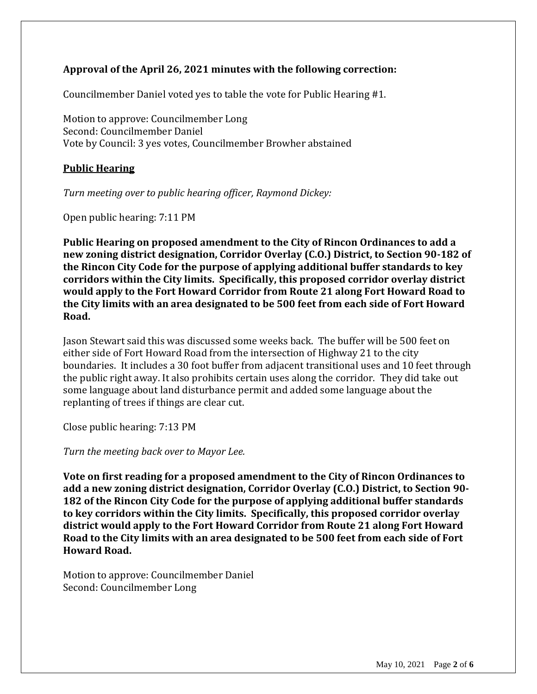# **Approval of the April 26, 2021 minutes with the following correction:**

Councilmember Daniel voted yes to table the vote for Public Hearing #1.

Motion to approve: Councilmember Long Second: Councilmember Daniel Vote by Council: 3 yes votes, Councilmember Browher abstained

# **Public Hearing**

*Turn meeting over to public hearing officer, Raymond Dickey:*

Open public hearing: 7:11 PM

**Public Hearing on proposed amendment to the City of Rincon Ordinances to add a new zoning district designation, Corridor Overlay (C.O.) District, to Section 90-182 of the Rincon City Code for the purpose of applying additional buffer standards to key corridors within the City limits. Specifically, this proposed corridor overlay district would apply to the Fort Howard Corridor from Route 21 along Fort Howard Road to the City limits with an area designated to be 500 feet from each side of Fort Howard Road.**

Jason Stewart said this was discussed some weeks back. The buffer will be 500 feet on either side of Fort Howard Road from the intersection of Highway 21 to the city boundaries. It includes a 30 foot buffer from adjacent transitional uses and 10 feet through the public right away. It also prohibits certain uses along the corridor. They did take out some language about land disturbance permit and added some language about the replanting of trees if things are clear cut.

Close public hearing: 7:13 PM

*Turn the meeting back over to Mayor Lee.*

**Vote on first reading for a proposed amendment to the City of Rincon Ordinances to add a new zoning district designation, Corridor Overlay (C.O.) District, to Section 90- 182 of the Rincon City Code for the purpose of applying additional buffer standards to key corridors within the City limits. Specifically, this proposed corridor overlay district would apply to the Fort Howard Corridor from Route 21 along Fort Howard Road to the City limits with an area designated to be 500 feet from each side of Fort Howard Road.**

Motion to approve: Councilmember Daniel Second: Councilmember Long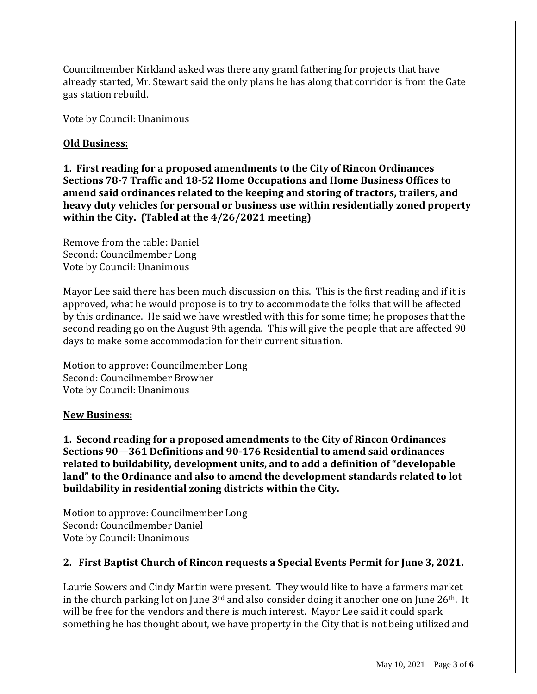Councilmember Kirkland asked was there any grand fathering for projects that have already started, Mr. Stewart said the only plans he has along that corridor is from the Gate gas station rebuild.

Vote by Council: Unanimous

# **Old Business:**

**1. First reading for a proposed amendments to the City of Rincon Ordinances Sections 78-7 Traffic and 18-52 Home Occupations and Home Business Offices to amend said ordinances related to the keeping and storing of tractors, trailers, and heavy duty vehicles for personal or business use within residentially zoned property within the City. (Tabled at the 4/26/2021 meeting)**

Remove from the table: Daniel Second: Councilmember Long Vote by Council: Unanimous

Mayor Lee said there has been much discussion on this. This is the first reading and if it is approved, what he would propose is to try to accommodate the folks that will be affected by this ordinance. He said we have wrestled with this for some time; he proposes that the second reading go on the August 9th agenda. This will give the people that are affected 90 days to make some accommodation for their current situation.

Motion to approve: Councilmember Long Second: Councilmember Browher Vote by Council: Unanimous

#### **New Business:**

**1. Second reading for a proposed amendments to the City of Rincon Ordinances Sections 90—361 Definitions and 90-176 Residential to amend said ordinances related to buildability, development units, and to add a definition of "developable land" to the Ordinance and also to amend the development standards related to lot buildability in residential zoning districts within the City.**

Motion to approve: Councilmember Long Second: Councilmember Daniel Vote by Council: Unanimous

#### **2. First Baptist Church of Rincon requests a Special Events Permit for June 3, 2021.**

Laurie Sowers and Cindy Martin were present. They would like to have a farmers market in the church parking lot on June  $3<sup>rd</sup>$  and also consider doing it another one on June  $26<sup>th</sup>$ . It will be free for the vendors and there is much interest. Mayor Lee said it could spark something he has thought about, we have property in the City that is not being utilized and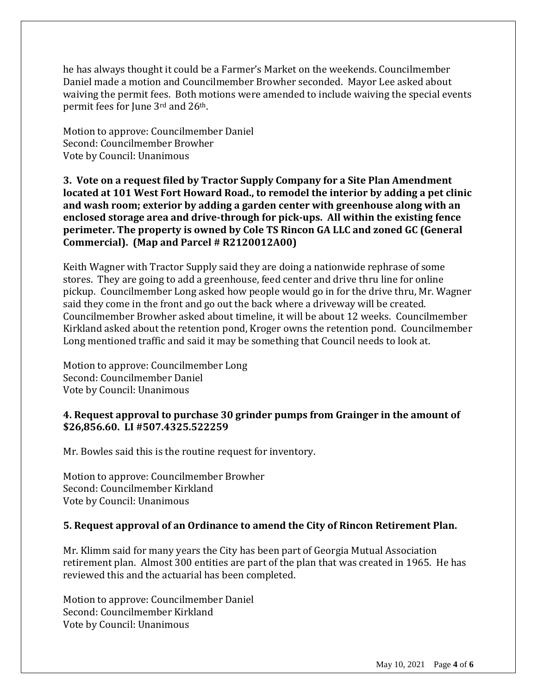he has always thought it could be a Farmer's Market on the weekends. Councilmember Daniel made a motion and Councilmember Browher seconded. Mayor Lee asked about waiving the permit fees. Both motions were amended to include waiving the special events permit fees for June 3rd and 26th.

Motion to approve: Councilmember Daniel Second: Councilmember Browher Vote by Council: Unanimous

**3. Vote on a request filed by Tractor Supply Company for a Site Plan Amendment located at 101 West Fort Howard Road., to remodel the interior by adding a pet clinic and wash room; exterior by adding a garden center with greenhouse along with an enclosed storage area and drive-through for pick-ups. All within the existing fence perimeter. The property is owned by Cole TS Rincon GA LLC and zoned GC (General Commercial). (Map and Parcel # R2120012A00)** 

Keith Wagner with Tractor Supply said they are doing a nationwide rephrase of some stores. They are going to add a greenhouse, feed center and drive thru line for online pickup. Councilmember Long asked how people would go in for the drive thru, Mr. Wagner said they come in the front and go out the back where a driveway will be created. Councilmember Browher asked about timeline, it will be about 12 weeks. Councilmember Kirkland asked about the retention pond, Kroger owns the retention pond. Councilmember Long mentioned traffic and said it may be something that Council needs to look at.

Motion to approve: Councilmember Long Second: Councilmember Daniel Vote by Council: Unanimous

## **4. Request approval to purchase 30 grinder pumps from Grainger in the amount of \$26,856.60. LI #507.4325.522259**

Mr. Bowles said this is the routine request for inventory.

Motion to approve: Councilmember Browher Second: Councilmember Kirkland Vote by Council: Unanimous

# **5. Request approval of an Ordinance to amend the City of Rincon Retirement Plan.**

Mr. Klimm said for many years the City has been part of Georgia Mutual Association retirement plan. Almost 300 entities are part of the plan that was created in 1965. He has reviewed this and the actuarial has been completed.

Motion to approve: Councilmember Daniel Second: Councilmember Kirkland Vote by Council: Unanimous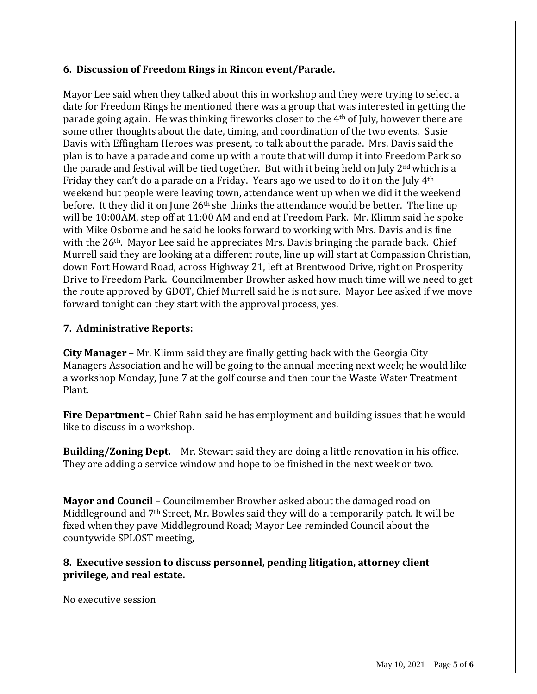# **6. Discussion of Freedom Rings in Rincon event/Parade.**

Mayor Lee said when they talked about this in workshop and they were trying to select a date for Freedom Rings he mentioned there was a group that was interested in getting the parade going again. He was thinking fireworks closer to the 4th of July, however there are some other thoughts about the date, timing, and coordination of the two events. Susie Davis with Effingham Heroes was present, to talk about the parade. Mrs. Davis said the plan is to have a parade and come up with a route that will dump it into Freedom Park so the parade and festival will be tied together. But with it being held on July  $2<sup>nd</sup>$  which is a Friday they can't do a parade on a Friday. Years ago we used to do it on the July 4th weekend but people were leaving town, attendance went up when we did it the weekend before. It they did it on June  $26<sup>th</sup>$  she thinks the attendance would be better. The line up will be 10:00AM, step off at 11:00 AM and end at Freedom Park. Mr. Klimm said he spoke with Mike Osborne and he said he looks forward to working with Mrs. Davis and is fine with the 26<sup>th</sup>. Mayor Lee said he appreciates Mrs. Davis bringing the parade back. Chief Murrell said they are looking at a different route, line up will start at Compassion Christian, down Fort Howard Road, across Highway 21, left at Brentwood Drive, right on Prosperity Drive to Freedom Park. Councilmember Browher asked how much time will we need to get the route approved by GDOT, Chief Murrell said he is not sure. Mayor Lee asked if we move forward tonight can they start with the approval process, yes.

# **7. Administrative Reports:**

**City Manager** – Mr. Klimm said they are finally getting back with the Georgia City Managers Association and he will be going to the annual meeting next week; he would like a workshop Monday, June 7 at the golf course and then tour the Waste Water Treatment Plant.

**Fire Department** – Chief Rahn said he has employment and building issues that he would like to discuss in a workshop.

**Building/Zoning Dept.** – Mr. Stewart said they are doing a little renovation in his office. They are adding a service window and hope to be finished in the next week or two.

**Mayor and Council** – Councilmember Browher asked about the damaged road on Middleground and 7th Street, Mr. Bowles said they will do a temporarily patch. It will be fixed when they pave Middleground Road; Mayor Lee reminded Council about the countywide SPLOST meeting,

## **8. Executive session to discuss personnel, pending litigation, attorney client privilege, and real estate.**

No executive session